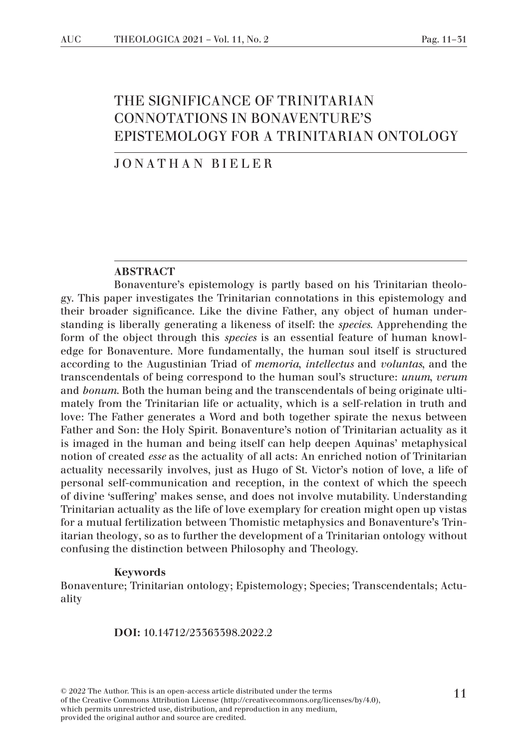# THE SIGNIFICANCE OF TRINITARIAN CONNOTATIONS IN BONAVENTURE'S EPISTEMOLOGY FOR A TRINITARIAN ONTOLOGY

#### JONATHAN BIELER

#### ABSTRACT

Bonaventure's epistemology is partly based on his Trinitarian theology. This paper investigates the Trinitarian connotations in this epistemology and their broader significance. Like the divine Father, any object of human understanding is liberally generating a likeness of itself: the *species*. Apprehending the form of the object through this *species* is an essential feature of human knowledge for Bonaventure. More fundamentally, the human soul itself is structured according to the Augustinian Triad of *memoria*, *intellectus* and *voluntas*, and the transcendentals of being correspond to the human soul's structure: *unum*, *verum* and *bonum*. Both the human being and the transcendentals of being originate ultimately from the Trinitarian life or actuality, which is a self-relation in truth and love: The Father generates a Word and both together spirate the nexus between Father and Son: the Holy Spirit. Bonaventure's notion of Trinitarian actuality as it is imaged in the human and being itself can help deepen Aquinas' metaphysical notion of created *esse* as the actuality of all acts: An enriched notion of Trinitarian actuality necessarily involves, just as Hugo of St. Victor's notion of love, a life of personal self-communication and reception, in the context of which the speech of divine 'suffering' makes sense, and does not involve mutability. Understanding Trinitarian actuality as the life of love exemplary for creation might open up vistas for a mutual fertilization between Thomistic metaphysics and Bonaventure's Trinitarian theology, so as to further the development of a Trinitarian ontology without confusing the distinction between Philosophy and Theology.

#### Keywords

Bonaventure; Trinitarian ontology; Epistemology; Species; Transcendentals; Actuality

DOI: 10.14712/23363398.2022.2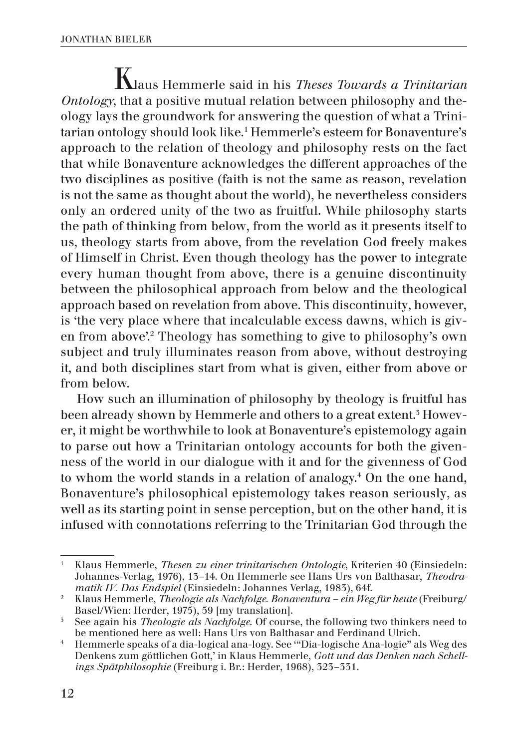Klaus Hemmerle said in his *Theses Towards a Trinitarian Ontology*, that a positive mutual relation between philosophy and theology lays the groundwork for answering the question of what a Trinitarian ontology should look like.1 Hemmerle's esteem for Bonaventure's approach to the relation of theology and philosophy rests on the fact that while Bonaventure acknowledges the different approaches of the two disciplines as positive (faith is not the same as reason, revelation is not the same as thought about the world), he nevertheless considers only an ordered unity of the two as fruitful. While philosophy starts the path of thinking from below, from the world as it presents itself to us, theology starts from above, from the revelation God freely makes of Himself in Christ. Even though theology has the power to integrate every human thought from above, there is a genuine discontinuity between the philosophical approach from below and the theological approach based on revelation from above. This discontinuity, however, is 'the very place where that incalculable excess dawns, which is given from above'.2 Theology has something to give to philosophy's own subject and truly illuminates reason from above, without destroying it, and both disciplines start from what is given, either from above or from below.

How such an illumination of philosophy by theology is fruitful has been already shown by Hemmerle and others to a great extent.<sup>3</sup> However, it might be worthwhile to look at Bonaventure's epistemology again to parse out how a Trinitarian ontology accounts for both the givenness of the world in our dialogue with it and for the givenness of God to whom the world stands in a relation of analogy.<sup>4</sup> On the one hand, Bonaventure's philosophical epistemology takes reason seriously, as well as its starting point in sense perception, but on the other hand, it is infused with connotations referring to the Trinitarian God through the

<sup>1</sup> Klaus Hemmerle, *Thesen zu einer trinitarischen Ontologie*, Kriterien 40 (Einsiedeln: Johannes-Verlag, 1976), 13–14. On Hemmerle see Hans Urs von Balthasar, *Theodra-*

*matik IV. Das Endspiel* (Einsiedeln: Johannes Verlag, 1983), 64f. 2 Klaus Hemmerle, *Theologie als Nachfolge. Bonaventura – ein Weg für heute* (Freiburg/

<sup>&</sup>lt;sup>5</sup> See again his *Theologie als Nachfolge*. Of course, the following two thinkers need to be mentioned here as well: Hans Urs von Balthasar and Ferdinand Ulrich.

<sup>&</sup>lt;sup>4</sup> Hemmerle speaks of a dia-logical ana-logy. See "Dia-logische Ana-logie" als Weg des Denkens zum göttlichen Gott,' in Klaus Hemmerle, *Gott und das Denken nach Schellings Spätphilosophie* (Freiburg i. Br.: Herder, 1968), 323–331.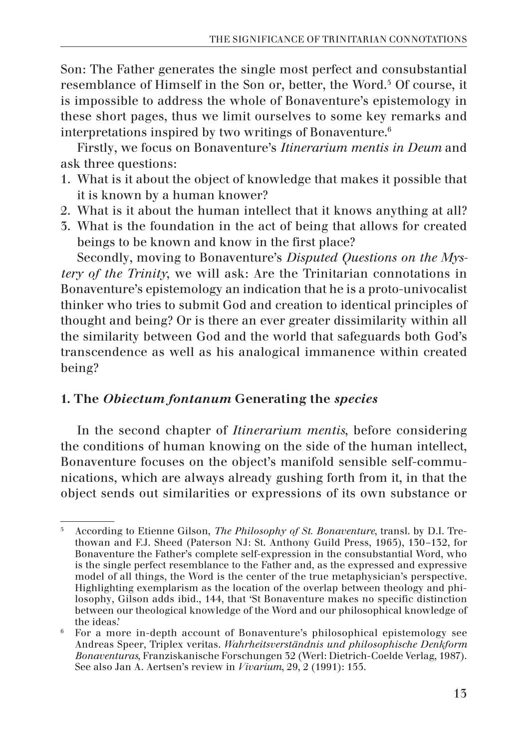Son: The Father generates the single most perfect and consubstantial resemblance of Himself in the Son or, better, the Word.<sup>5</sup> Of course, it is impossible to address the whole of Bonaventure's epistemology in these short pages, thus we limit ourselves to some key remarks and interpretations inspired by two writings of Bonaventure.<sup>6</sup>

Firstly, we focus on Bonaventure's *Itinerarium mentis in Deum* and ask three questions:

- 1. What is it about the object of knowledge that makes it possible that it is known by a human knower?
- 2. What is it about the human intellect that it knows anything at all?
- 3. What is the foundation in the act of being that allows for created beings to be known and know in the first place?

Secondly, moving to Bonaventure's *Disputed Questions on the Mystery of the Trinity*, we will ask: Are the Trinitarian connotations in Bonaventure's epistemology an indication that he is a proto-univocalist thinker who tries to submit God and creation to identical principles of thought and being? Or is there an ever greater dissimilarity within all the similarity between God and the world that safeguards both God's transcendence as well as his analogical immanence within created being?

# 1. The *Obiectum fontanum* Generating the *species*

In the second chapter of *Itinerarium mentis*, before considering the conditions of human knowing on the side of the human intellect, Bonaventure focuses on the object's manifold sensible self-communications, which are always already gushing forth from it, in that the object sends out similarities or expressions of its own substance or

<sup>5</sup> According to Etienne Gilson, *The Philosophy of St. Bonaventure*, transl. by D.I. Trethowan and F.J. Sheed (Paterson NJ: St. Anthony Guild Press, 1965), 130–132, for Bonaventure the Father's complete self-expression in the consubstantial Word, who is the single perfect resemblance to the Father and, as the expressed and expressive model of all things, the Word is the center of the true metaphysician's perspective. Highlighting exemplarism as the location of the overlap between theology and philosophy, Gilson adds ibid., 144, that 'St Bonaventure makes no specific distinction between our theological knowledge of the Word and our philosophical knowledge of the ideas.'

<sup>6</sup> For a more in-depth account of Bonaventure's philosophical epistemology see Andreas Speer, Triplex veritas. *Wahrheitsverständnis und philosophische Denkform Bonaventuras*, Franziskanische Forschungen 32 (Werl: Dietrich-Coelde Verlag, 1987). See also Jan A. Aertsen's review in *Vivarium*, 29, 2 (1991): 155.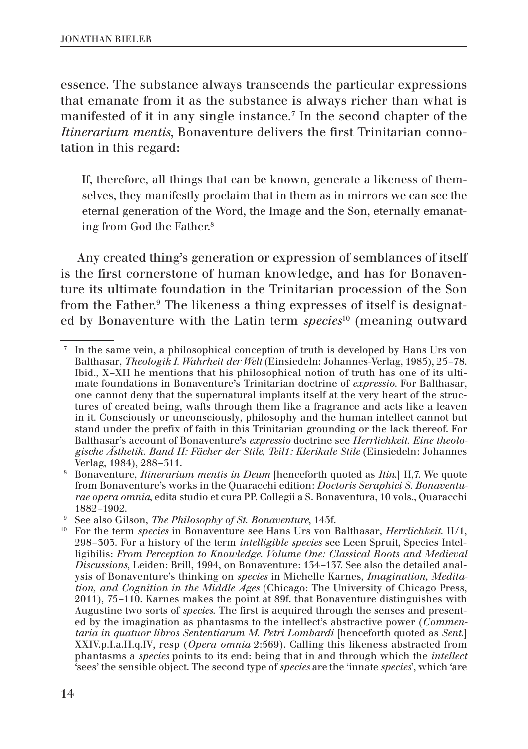essence. The substance always transcends the particular expressions that emanate from it as the substance is always richer than what is manifested of it in any single instance.7 In the second chapter of the *Itinerarium mentis*, Bonaventure delivers the first Trinitarian connotation in this regard:

If, therefore, all things that can be known, generate a likeness of themselves, they manifestly proclaim that in them as in mirrors we can see the eternal generation of the Word, the Image and the Son, eternally emanating from God the Father.8

Any created thing's generation or expression of semblances of itself is the first cornerstone of human knowledge, and has for Bonaventure its ultimate foundation in the Trinitarian procession of the Son from the Father.<sup>9</sup> The likeness a thing expresses of itself is designated by Bonaventure with the Latin term *species*10 (meaning outward

<sup>7</sup> In the same vein, a philosophical conception of truth is developed by Hans Urs von Balthasar, *Theologik I. Wahrheit der Welt* (Einsiedeln: Johannes-Verlag, 1985), 25–78. Ibid., X–XII he mentions that his philosophical notion of truth has one of its ultimate foundations in Bonaventure's Trinitarian doctrine of *expressio*. For Balthasar, one cannot deny that the supernatural implants itself at the very heart of the structures of created being, wafts through them like a fragrance and acts like a leaven in it. Consciously or unconsciously, philosophy and the human intellect cannot but stand under the prefix of faith in this Trinitarian grounding or the lack thereof. For Balthasar's account of Bonaventure's *expressio* doctrine see *Herrlichkeit. Eine theologische Ästhetik. Band II: Fächer der Stile, Teil1: Klerikale Stile* (Einsiedeln: Johannes Verlag, 1984), 288–311.

<sup>8</sup> Bonaventure, *Itinerarium mentis in Deum* [henceforth quoted as *Itin*.] II,7. We quote from Bonaventure's works in the Quaracchi edition: *Doctoris Seraphici S. Bonaventurae opera omnia*, edita studio et cura PP. Collegii a S. Bonaventura, 10 vols., Quaracchi

See also Gilson, *The Philosophy of St. Bonaventure*, 145f.

<sup>10</sup> For the term *species* in Bonaventure see Hans Urs von Balthasar, *Herrlichkeit.* II/1, 298–303. For a history of the term *intelligible species* see Leen Spruit, Species Intelligibilis: *From Perception to Knowledge. Volume One: Classical Roots and Medieval Discussions*, Leiden: Brill, 1994, on Bonaventure: 134–137. See also the detailed analysis of Bonaventure's thinking on *species* in Michelle Karnes, *Imagination, Meditation, and Cognition in the Middle Ages* (Chicago: The University of Chicago Press, 2011), 75–110. Karnes makes the point at 89f. that Bonaventure distinguishes with Augustine two sorts of *species*. The first is acquired through the senses and presented by the imagination as phantasms to the intellect's abstractive power (*Commentaria in quatuor libros Sententiarum M. Petri Lombardi* [henceforth quoted as *Sent*.] XXIV.p.I.a.II.q.IV, resp (*Opera omnia* 2:569). Calling this likeness abstracted from phantasms a *species* points to its end: being that in and through which the *intellect* 'sees' the sensible object. The second type of *species* are the 'innate *species*', which 'are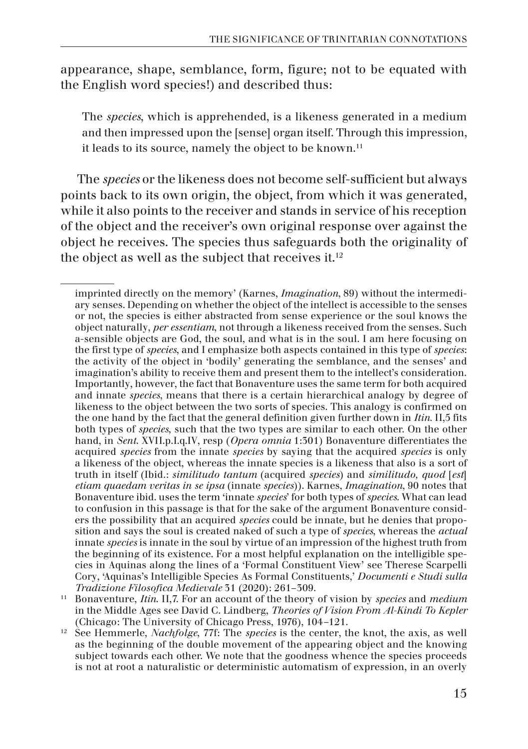appearance, shape, semblance, form, figure; not to be equated with the English word species!) and described thus:

The *species*, which is apprehended, is a likeness generated in a medium and then impressed upon the [sense] organ itself. Through this impression, it leads to its source, namely the object to be known.<sup>11</sup>

The *species* or the likeness does not become self-sufficient but always points back to its own origin, the object, from which it was generated, while it also points to the receiver and stands in service of his reception of the object and the receiver's own original response over against the object he receives. The species thus safeguards both the originality of the object as well as the subject that receives it. $12$ 

imprinted directly on the memory' (Karnes, *Imagination*, 89) without the intermediary senses. Depending on whether the object of the intellect is accessible to the senses or not, the species is either abstracted from sense experience or the soul knows the object naturally, *per essentiam*, not through a likeness received from the senses. Such a-sensible objects are God, the soul, and what is in the soul. I am here focusing on the first type of *species*, and I emphasize both aspects contained in this type of *species*: the activity of the object in 'bodily' generating the semblance, and the senses' and imagination's ability to receive them and present them to the intellect's consideration. Importantly, however, the fact that Bonaventure uses the same term for both acquired and innate *species*, means that there is a certain hierarchical analogy by degree of likeness to the object between the two sorts of species. This analogy is confirmed on the one hand by the fact that the general definition given further down in *Itin.* II,5 fits both types of *species*, such that the two types are similar to each other. On the other hand, in *Sent*. XVII.p.I.q.IV, resp (*Opera omnia* 1:301) Bonaventure differentiates the acquired *species* from the innate *species* by saying that the acquired *species* is only a likeness of the object, whereas the innate species is a likeness that also is a sort of truth in itself (Ibid.: *similitudo tantum* (acquired *species*) and *similitudo, quod* [*est*] *etiam quaedam veritas in se ipsa* (innate *species*)). Karnes, *Imagination*, 90 notes that Bonaventure ibid. uses the term 'innate *species*' for both types of *species*. What can lead to confusion in this passage is that for the sake of the argument Bonaventure considers the possibility that an acquired *species* could be innate, but he denies that proposition and says the soul is created naked of such a type of *species*, whereas the *actual* innate *species* is innate in the soul by virtue of an impression of the highest truth from the beginning of its existence. For a most helpful explanation on the intelligible species in Aquinas along the lines of a 'Formal Constituent View' see Therese Scarpelli Cory, 'Aquinas's Intelligible Species As Formal Constituents,' *Documenti e Studi sulla* 

<sup>&</sup>lt;sup>11</sup> Bonaventure, *Itin*. II,7. For an account of the theory of vision by *species* and *medium* in the Middle Ages see David C. Lindberg, *Theories of Vision From Al-Kindi To Kepler* (Chicago: The University of Chicago Press, 1976), 104–121.

<sup>12</sup> See Hemmerle, *Nachfolge*, 77f: The *species* is the center, the knot, the axis, as well as the beginning of the double movement of the appearing object and the knowing subject towards each other. We note that the goodness whence the species proceeds is not at root a naturalistic or deterministic automatism of expression, in an overly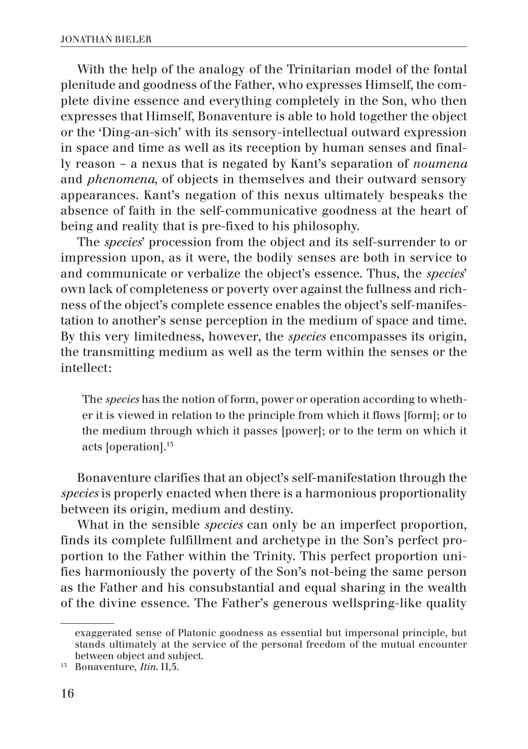With the help of the analogy of the Trinitarian model of the fontal plenitude and goodness of the Father, who expresses Himself, the complete divine essence and everything completely in the Son, who then expresses that Himself, Bonaventure is able to hold together the object or the 'Ding-an-sich' with its sensory-intellectual outward expression in space and time as well as its reception by human senses and finally reason – a nexus that is negated by Kant's separation of *noumena* and *phenomena*, of objects in themselves and their outward sensory appearances. Kant's negation of this nexus ultimately bespeaks the absence of faith in the self-communicative goodness at the heart of being and reality that is pre-fixed to his philosophy.

The *species*' procession from the object and its self-surrender to or impression upon, as it were, the bodily senses are both in service to and communicate or verbalize the object's essence. Thus, the *species*' own lack of completeness or poverty over against the fullness and richness of the object's complete essence enables the object's self-manifestation to another's sense perception in the medium of space and time. By this very limitedness, however, the *species* encompasses its origin, the transmitting medium as well as the term within the senses or the intellect:

The *species* has the notion of form, power or operation according to whether it is viewed in relation to the principle from which it flows [form]; or to the medium through which it passes [power]; or to the term on which it acts [operation].13

Bonaventure clarifies that an object's self-manifestation through the *species* is properly enacted when there is a harmonious proportionality between its origin, medium and destiny.

What in the sensible *species* can only be an imperfect proportion, finds its complete fulfillment and archetype in the Son's perfect proportion to the Father within the Trinity. This perfect proportion unifies harmoniously the poverty of the Son's not-being the same person as the Father and his consubstantial and equal sharing in the wealth of the divine essence. The Father's generous wellspring-like quality

exaggerated sense of Platonic goodness as essential but impersonal principle, but stands ultimately at the service of the personal freedom of the mutual encounter between object and subject.

<sup>13</sup> Bonaventure, *Itin*. II,5.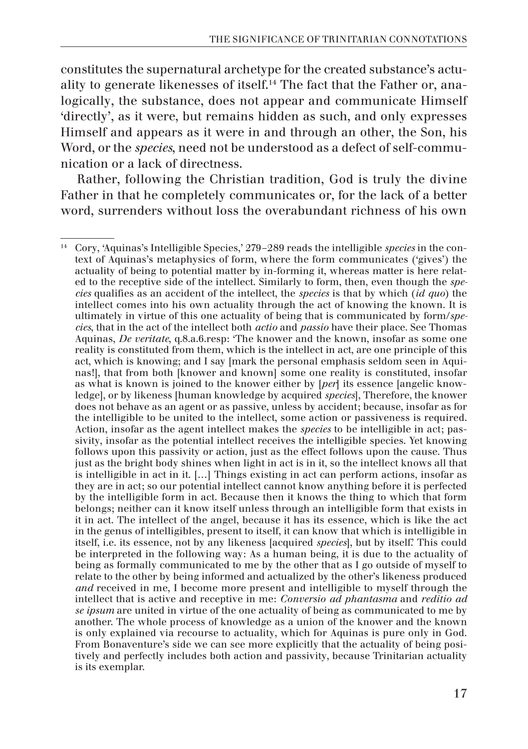constitutes the supernatural archetype for the created substance's actuality to generate likenesses of itself.14 The fact that the Father or, analogically, the substance, does not appear and communicate Himself 'directly', as it were, but remains hidden as such, and only expresses Himself and appears as it were in and through an other, the Son, his Word, or the *species*, need not be understood as a defect of self-communication or a lack of directness.

Rather, following the Christian tradition, God is truly the divine Father in that he completely communicates or, for the lack of a better word, surrenders without loss the overabundant richness of his own

<sup>14</sup> Cory, 'Aquinas's Intelligible Species,' 279–289 reads the intelligible *species* in the context of Aquinas's metaphysics of form, where the form communicates ('gives') the actuality of being to potential matter by in-forming it, whereas matter is here related to the receptive side of the intellect. Similarly to form, then, even though the *species* qualifies as an accident of the intellect, the *species* is that by which (*id quo*) the intellect comes into his own actuality through the act of knowing the known. It is ultimately in virtue of this one actuality of being that is communicated by form/*species*, that in the act of the intellect both *actio* and *passio* have their place. See Thomas Aquinas, *De veritate*, q.8.a.6.resp: 'The knower and the known, insofar as some one reality is constituted from them, which is the intellect in act, are one principle of this act, which is knowing; and I say [mark the personal emphasis seldom seen in Aquinas!], that from both [knower and known] some one reality is constituted, insofar as what is known is joined to the knower either by [*per*] its essence [angelic knowledge], or by likeness [human knowledge by acquired *species*], Therefore, the knower does not behave as an agent or as passive, unless by accident; because, insofar as for the intelligible to be united to the intellect, some action or passiveness is required. Action, insofar as the agent intellect makes the *species* to be intelligible in act; passivity, insofar as the potential intellect receives the intelligible species. Yet knowing follows upon this passivity or action, just as the effect follows upon the cause. Thus just as the bright body shines when light in act is in it, so the intellect knows all that is intelligible in act in it. […] Things existing in act can perform actions, insofar as they are in act; so our potential intellect cannot know anything before it is perfected by the intelligible form in act. Because then it knows the thing to which that form belongs; neither can it know itself unless through an intelligible form that exists in it in act. The intellect of the angel, because it has its essence, which is like the act in the genus of intelligibles, present to itself, it can know that which is intelligible in itself, i.e. its essence, not by any likeness [acquired *species*], but by itself.' This could be interpreted in the following way: As a human being, it is due to the actuality of being as formally communicated to me by the other that as I go outside of myself to relate to the other by being informed and actualized by the other's likeness produced *and* received in me, I become more present and intelligible to myself through the intellect that is active and receptive in me: *Conversio ad phantasma* and *reditio ad se ipsum* are united in virtue of the one actuality of being as communicated to me by another. The whole process of knowledge as a union of the knower and the known is only explained via recourse to actuality, which for Aquinas is pure only in God. From Bonaventure's side we can see more explicitly that the actuality of being positively and perfectly includes both action and passivity, because Trinitarian actuality is its exemplar.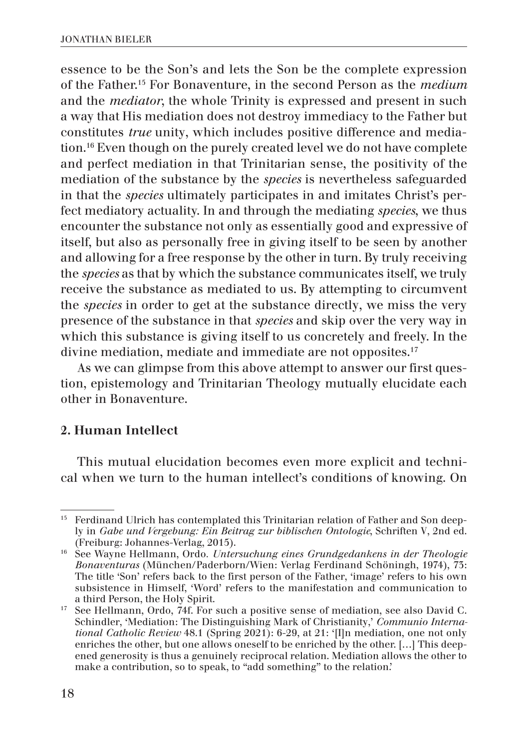essence to be the Son's and lets the Son be the complete expression of the Father.15 For Bonaventure, in the second Person as the *medium*  and the *mediator*, the whole Trinity is expressed and present in such a way that His mediation does not destroy immediacy to the Father but constitutes *true* unity, which includes positive difference and mediation.16 Even though on the purely created level we do not have complete and perfect mediation in that Trinitarian sense, the positivity of the mediation of the substance by the *species* is nevertheless safeguarded in that the *species* ultimately participates in and imitates Christ's perfect mediatory actuality. In and through the mediating *species*, we thus encounter the substance not only as essentially good and expressive of itself, but also as personally free in giving itself to be seen by another and allowing for a free response by the other in turn. By truly receiving the *species* as that by which the substance communicates itself, we truly receive the substance as mediated to us. By attempting to circumvent the *species* in order to get at the substance directly, we miss the very presence of the substance in that *species* and skip over the very way in which this substance is giving itself to us concretely and freely. In the divine mediation, mediate and immediate are not opposites.<sup>17</sup>

As we can glimpse from this above attempt to answer our first question, epistemology and Trinitarian Theology mutually elucidate each other in Bonaventure.

### 2. Human Intellect

This mutual elucidation becomes even more explicit and technical when we turn to the human intellect's conditions of knowing. On

<sup>&</sup>lt;sup>15</sup> Ferdinand Ulrich has contemplated this Trinitarian relation of Father and Son deeply in *Gabe und Vergebung: Ein Beitrag zur biblischen Ontologie*, Schriften V, 2nd ed.

<sup>&</sup>lt;sup>16</sup> See Wayne Hellmann, Ordo. *Untersuchung eines Grundgedankens in der Theologie Bonaventuras* (München/Paderborn/Wien: Verlag Ferdinand Schöningh, 1974), 73: The title 'Son' refers back to the first person of the Father, 'image' refers to his own subsistence in Himself, 'Word' refers to the manifestation and communication to

<sup>&</sup>lt;sup>17</sup> See Hellmann, Ordo,  $74f$ . For such a positive sense of mediation, see also David C. Schindler, 'Mediation: The Distinguishing Mark of Christianity,' *Communio International Catholic Review* 48.1 (Spring 2021): 6-29, at 21: '[I]n mediation, one not only enriches the other, but one allows oneself to be enriched by the other. […] This deepened generosity is thus a genuinely reciprocal relation. Mediation allows the other to make a contribution, so to speak, to "add something" to the relation.'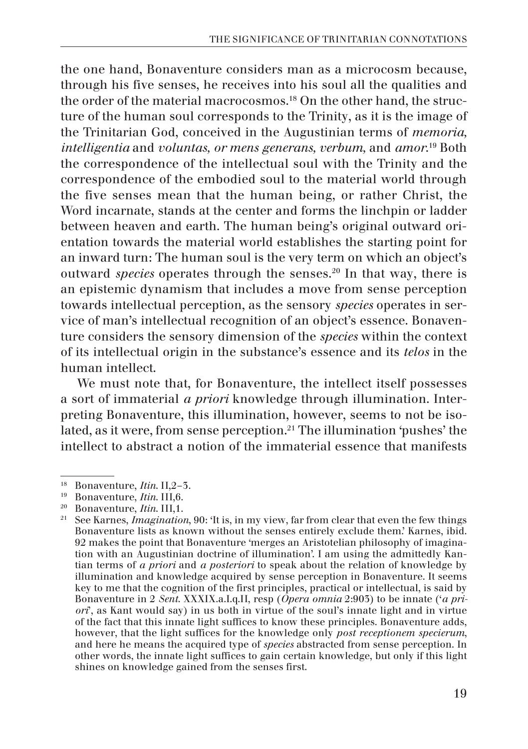the one hand, Bonaventure considers man as a microcosm because, through his five senses, he receives into his soul all the qualities and the order of the material macrocosmos.<sup>18</sup> On the other hand, the structure of the human soul corresponds to the Trinity, as it is the image of the Trinitarian God, conceived in the Augustinian terms of *memoria, intelligentia* and *voluntas, or mens generans, verbum,* and *amor*. 19 Both the correspondence of the intellectual soul with the Trinity and the correspondence of the embodied soul to the material world through the five senses mean that the human being, or rather Christ, the Word incarnate, stands at the center and forms the linchpin or ladder between heaven and earth. The human being's original outward orientation towards the material world establishes the starting point for an inward turn: The human soul is the very term on which an object's outward *species* operates through the senses.20 In that way, there is an epistemic dynamism that includes a move from sense perception towards intellectual perception, as the sensory *species* operates in service of man's intellectual recognition of an object's essence. Bonaventure considers the sensory dimension of the *species* within the context of its intellectual origin in the substance's essence and its *telos* in the human intellect.

We must note that, for Bonaventure, the intellect itself possesses a sort of immaterial *a priori* knowledge through illumination. Interpreting Bonaventure, this illumination, however, seems to not be isolated, as it were, from sense perception.<sup>21</sup> The illumination 'pushes' the intellect to abstract a notion of the immaterial essence that manifests

<sup>&</sup>lt;sup>18</sup> Bonaventure, *Itin*. III,6.<br><sup>19</sup> Bonaventure, *Itin*. III,6.<br><sup>20</sup> Bonaventure, *Itin*. III,1.<br><sup>21</sup> See Karnes, *Imagination*, 90: 'It is, in my view, far from clear that even the few things Bonaventure lists as known without the senses entirely exclude them.' Karnes, ibid. 92 makes the point that Bonaventure 'merges an Aristotelian philosophy of imagination with an Augustinian doctrine of illumination'. I am using the admittedly Kantian terms of *a priori* and *a posteriori* to speak about the relation of knowledge by illumination and knowledge acquired by sense perception in Bonaventure. It seems key to me that the cognition of the first principles, practical or intellectual, is said by Bonaventure in 2 *Sent*. XXXIX.a.I.q.II, resp (*Opera omnia* 2:903) to be innate ('*a priori*', as Kant would say) in us both in virtue of the soul's innate light and in virtue of the fact that this innate light suffices to know these principles. Bonaventure adds, however, that the light suffices for the knowledge only *post receptionem specierum*, and here he means the acquired type of *species* abstracted from sense perception. In other words, the innate light suffices to gain certain knowledge, but only if this light shines on knowledge gained from the senses first.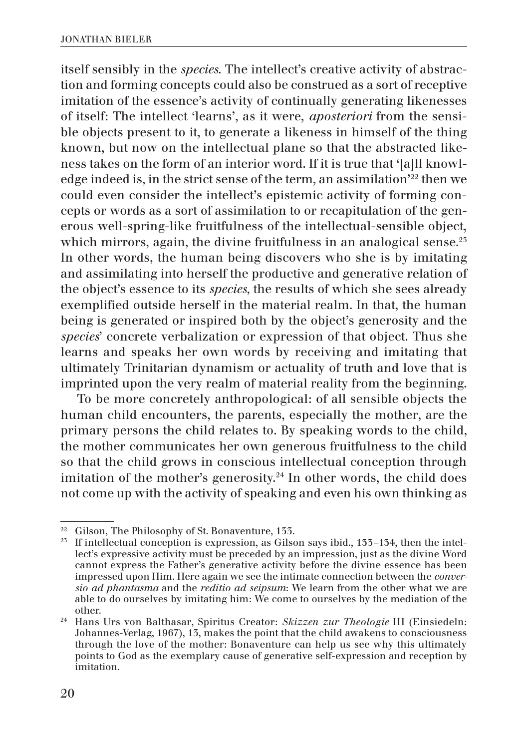itself sensibly in the *species*. The intellect's creative activity of abstraction and forming concepts could also be construed as a sort of receptive imitation of the essence's activity of continually generating likenesses of itself: The intellect 'learns', as it were, *aposteriori* from the sensible objects present to it, to generate a likeness in himself of the thing known, but now on the intellectual plane so that the abstracted likeness takes on the form of an interior word. If it is true that '[a]ll knowledge indeed is, in the strict sense of the term, an assimilation'22 then we could even consider the intellect's epistemic activity of forming concepts or words as a sort of assimilation to or recapitulation of the generous well-spring-like fruitfulness of the intellectual-sensible object, which mirrors, again, the divine fruitfulness in an analogical sense.<sup>25</sup> In other words, the human being discovers who she is by imitating and assimilating into herself the productive and generative relation of the object's essence to its *species,* the results of which she sees already exemplified outside herself in the material realm. In that, the human being is generated or inspired both by the object's generosity and the *species*' concrete verbalization or expression of that object. Thus she learns and speaks her own words by receiving and imitating that ultimately Trinitarian dynamism or actuality of truth and love that is imprinted upon the very realm of material reality from the beginning.

To be more concretely anthropological: of all sensible objects the human child encounters, the parents, especially the mother, are the primary persons the child relates to. By speaking words to the child, the mother communicates her own generous fruitfulness to the child so that the child grows in conscious intellectual conception through imitation of the mother's generosity. $24$  In other words, the child does not come up with the activity of speaking and even his own thinking as

<sup>&</sup>lt;sup>22</sup> Gilson, The Philosophy of St. Bonaventure, 133.<br><sup>23</sup> If intellectual conception is expression, as Gilson says ibid., 133–134, then the intellect's expressive activity must be preceded by an impression, just as the divine Word cannot express the Father's generative activity before the divine essence has been impressed upon Him. Here again we see the intimate connection between the *conversio ad phantasma* and the *reditio ad seipsum*: We learn from the other what we are able to do ourselves by imitating him: We come to ourselves by the mediation of the other. 24 Hans Urs von Balthasar, Spiritus Creator: *Skizzen zur Theologie* III (Einsiedeln:

Johannes-Verlag, 1967), 13, makes the point that the child awakens to consciousness through the love of the mother: Bonaventure can help us see why this ultimately points to God as the exemplary cause of generative self-expression and reception by imitation.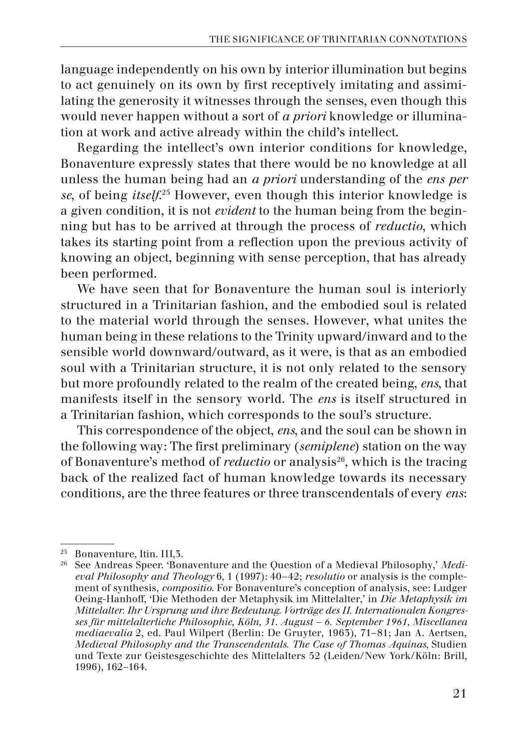language independently on his own by interior illumination but begins to act genuinely on its own by first receptively imitating and assimilating the generosity it witnesses through the senses, even though this would never happen without a sort of *a priori* knowledge or illumination at work and active already within the child's intellect.

Regarding the intellect's own interior conditions for knowledge, Bonaventure expressly states that there would be no knowledge at all unless the human being had an *a priori* understanding of the *ens per se*, of being *itself*. 25 However, even though this interior knowledge is a given condition, it is not *evident* to the human being from the beginning but has to be arrived at through the process of *reductio*, which takes its starting point from a reflection upon the previous activity of knowing an object, beginning with sense perception, that has already been performed.

We have seen that for Bonaventure the human soul is interiorly structured in a Trinitarian fashion, and the embodied soul is related to the material world through the senses. However, what unites the human being in these relations to the Trinity upward/inward and to the sensible world downward/outward, as it were, is that as an embodied soul with a Trinitarian structure, it is not only related to the sensory but more profoundly related to the realm of the created being, *ens*, that manifests itself in the sensory world. The *ens* is itself structured in a Trinitarian fashion, which corresponds to the soul's structure.

This correspondence of the object, *ens*, and the soul can be shown in the following way: The first preliminary (*semiplene*) station on the way of Bonaventure's method of *reductio* or analysis<sup>26</sup>, which is the tracing back of the realized fact of human knowledge towards its necessary conditions, are the three features or three transcendentals of every *ens*:

<sup>&</sup>lt;sup>25</sup> Bonaventure, Itin. III, 5.<br><sup>26</sup> See Andreas Speer. 'Bonaventure and the Question of a Medieval Philosophy,' *Medieval Philosophy and Theology* 6, 1 (1997): 40–42; *resolutio* or analysis is the complement of synthesis, *compositio*. For Bonaventure's conception of analysis, see: Ludger Oeing-Hanhoff, 'Die Methoden der Metaphysik im Mittelalter,' in *Die Metaphysik im Mittelalter. Ihr Ursprung und ihre Bedeutung. Vorträge des II. Internationalen Kongresses für mittelalterliche Philosophie, Köln, 31. August – 6. September 1961, Miscellanea mediaevalia* 2, ed. Paul Wilpert (Berlin: De Gruyter, 1963), 71–81; Jan A. Aertsen, *Medieval Philosophy and the Transcendentals. The Case of Thomas Aquinas*, Studien und Texte zur Geistesgeschichte des Mittelalters 52 (Leiden/New York/Köln: Brill, 1996), 162–164.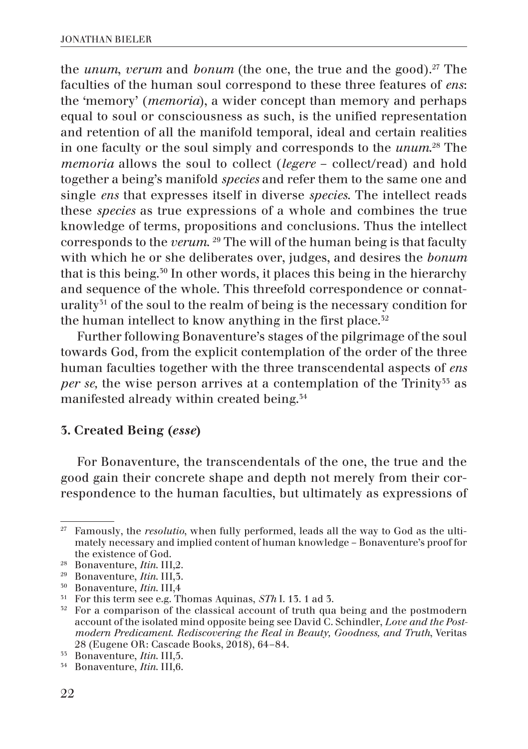the *unum*, *verum* and *bonum* (the one, the true and the good).<sup>27</sup> The faculties of the human soul correspond to these three features of *ens*: the 'memory' (*memoria*), a wider concept than memory and perhaps equal to soul or consciousness as such, is the unified representation and retention of all the manifold temporal, ideal and certain realities in one faculty or the soul simply and corresponds to the *unum*. 28 The *memoria* allows the soul to collect (*legere* – collect/read) and hold together a being's manifold *species* and refer them to the same one and single *ens* that expresses itself in diverse *species*. The intellect reads these *species* as true expressions of a whole and combines the true knowledge of terms, propositions and conclusions. Thus the intellect corresponds to the *verum*. 29 The will of the human being is that faculty with which he or she deliberates over, judges, and desires the *bonum* that is this being.30 In other words, it places this being in the hierarchy and sequence of the whole. This threefold correspondence or connaturality<sup>31</sup> of the soul to the realm of being is the necessary condition for the human intellect to know anything in the first place.<sup>32</sup>

Further following Bonaventure's stages of the pilgrimage of the soul towards God, from the explicit contemplation of the order of the three human faculties together with the three transcendental aspects of *ens per se,* the wise person arrives at a contemplation of the Trinity<sup>33</sup> as manifested already within created being.34

### 3. Created Being (*esse*)

For Bonaventure, the transcendentals of the one, the true and the good gain their concrete shape and depth not merely from their correspondence to the human faculties, but ultimately as expressions of

<sup>27</sup> Famously, the *resolutio*, when fully performed, leads all the way to God as the ultimately necessary and implied content of human knowledge – Bonaventure's proof for the existence of God.<br><sup>28</sup> Bonaventure, *Itin*. III,2.

<sup>&</sup>lt;sup>29</sup> Bonaventure, *Itin*. III, 3.<br><sup>50</sup> Bonaventure, *Itin*. III, 4<br><sup>51</sup> For this term see e.g. Thomas Aquinas, *STh* I. 13. 1 ad 3.

<sup>&</sup>lt;sup>32</sup> For a comparison of the classical account of truth qua being and the postmodern account of the isolated mind opposite being see David C. Schindler, *Love and the Postmodern Predicament. Rediscovering the Real in Beauty, Goodness, and Truth*, Veritas 28 (Eugene OR: Cascade Books, 2018), 64–84. 33 Bonaventure, *Itin*. III,5. 34 Bonaventure, *Itin*. III,6.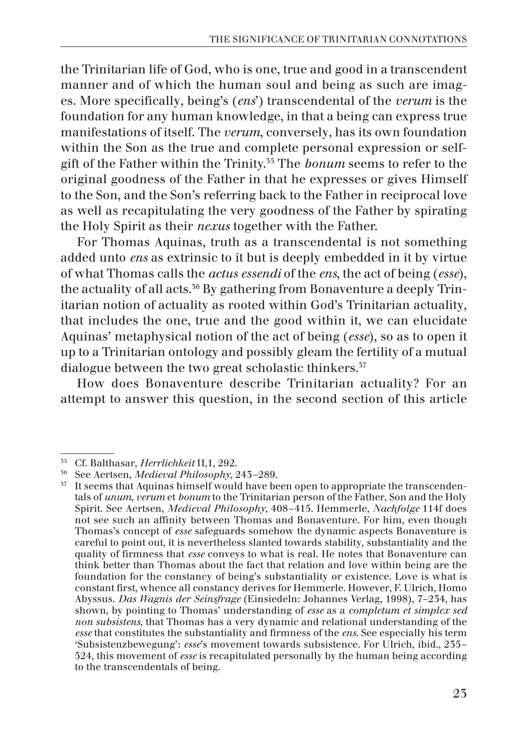the Trinitarian life of God, who is one, true and good in a transcendent manner and of which the human soul and being as such are images. More specifically, being's (*ens*') transcendental of the *verum* is the foundation for any human knowledge, in that a being can express true manifestations of itself. The *verum*, conversely, has its own foundation within the Son as the true and complete personal expression or selfgift of the Father within the Trinity.35 The *bonum* seems to refer to the original goodness of the Father in that he expresses or gives Himself to the Son, and the Son's referring back to the Father in reciprocal love as well as recapitulating the very goodness of the Father by spirating the Holy Spirit as their *nexus* together with the Father.

For Thomas Aquinas, truth as a transcendental is not something added unto *ens* as extrinsic to it but is deeply embedded in it by virtue of what Thomas calls the *actus essendi* of the *ens*, the act of being (*esse*), the actuality of all acts.<sup>36</sup> By gathering from Bonaventure a deeply Trinitarian notion of actuality as rooted within God's Trinitarian actuality, that includes the one, true and the good within it, we can elucidate Aquinas' metaphysical notion of the act of being (*esse*), so as to open it up to a Trinitarian ontology and possibly gleam the fertility of a mutual dialogue between the two great scholastic thinkers.<sup>37</sup>

How does Bonaventure describe Trinitarian actuality? For an attempt to answer this question, in the second section of this article

<sup>&</sup>lt;sup>35</sup> Cf. Balthasar, *Herrlichkeit* II,1, 292.<br><sup>36</sup> See Aertsen, *Medieval Philosophy*, 243–289.<br><sup>37</sup> It seems that Aquinas himself would have been open to appropriate the transcendentals of *unum*, *verum* et *bonum* to the Trinitarian person of the Father, Son and the Holy Spirit. See Aertsen, *Medieval Philosophy*, 408–415. Hemmerle, *Nachfolge* 114f does not see such an affinity between Thomas and Bonaventure. For him, even though Thomas's concept of *esse* safeguards somehow the dynamic aspects Bonaventure is careful to point out, it is nevertheless slanted towards stability, substantiality and the quality of firmness that *esse* conveys to what is real. He notes that Bonaventure can think better than Thomas about the fact that relation and love within being are the foundation for the constancy of being's substantiality or existence. Love is what is constant first, whence all constancy derives for Hemmerle. However, F. Ulrich, Homo Abyssus. *Das Wagnis der Seinsfrage* (Einsiedeln: Johannes Verlag, 1998), 7–234, has shown, by pointing to Thomas' understanding of *esse* as a *completum et simplex sed non subsistens*, that Thomas has a very dynamic and relational understanding of the *esse* that constitutes the substantiality and firmness of the *ens*. See especially his term 'Subsistenzbewegung': *esse*'s movement towards subsistence. For Ulrich, ibid., 235– 524, this movement of *esse* is recapitulated personally by the human being according to the transcendentals of being.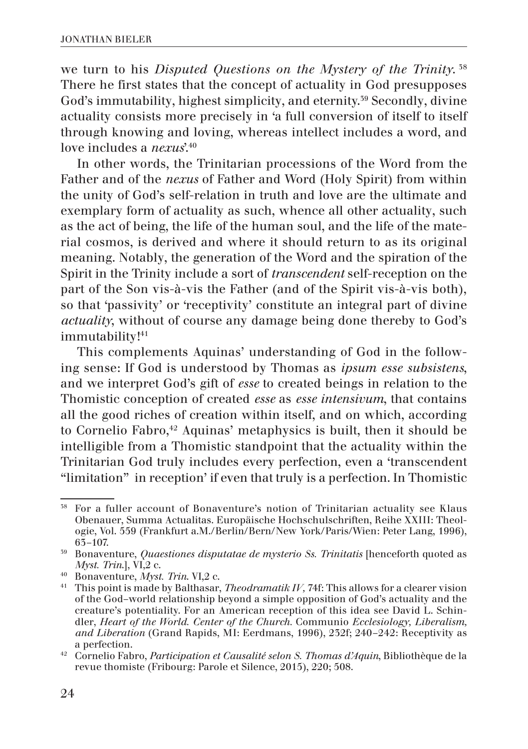we turn to his *Disputed Questions on the Mystery of the Trinity*. 38 There he first states that the concept of actuality in God presupposes God's immutability, highest simplicity, and eternity.<sup>39</sup> Secondly, divine actuality consists more precisely in 'a full conversion of itself to itself through knowing and loving, whereas intellect includes a word, and love includes a *nexus*<sup>'40</sup>

In other words, the Trinitarian processions of the Word from the Father and of the *nexus* of Father and Word (Holy Spirit) from within the unity of God's self-relation in truth and love are the ultimate and exemplary form of actuality as such, whence all other actuality, such as the act of being, the life of the human soul, and the life of the material cosmos, is derived and where it should return to as its original meaning. Notably, the generation of the Word and the spiration of the Spirit in the Trinity include a sort of *transcendent* self-reception on the part of the Son vis-à-vis the Father (and of the Spirit vis-à-vis both), so that 'passivity' or 'receptivity' constitute an integral part of divine *actuality*, without of course any damage being done thereby to God's immutability!<sup>41</sup>

This complements Aquinas' understanding of God in the following sense: If God is understood by Thomas as *ipsum esse subsistens*, and we interpret God's gift of *esse* to created beings in relation to the Thomistic conception of created *esse* as *esse intensivum*, that contains all the good riches of creation within itself, and on which, according to Cornelio Fabro,<sup>42</sup> Aquinas' metaphysics is built, then it should be intelligible from a Thomistic standpoint that the actuality within the Trinitarian God truly includes every perfection, even a 'transcendent "limitation" in reception' if even that truly is a perfection. In Thomistic

<sup>38</sup> For a fuller account of Bonaventure's notion of Trinitarian actuality see Klaus Obenauer, Summa Actualitas. Europäische Hochschulschriften, Reihe XXIII: Theologie, Vol. 559 (Frankfurt a.M./Berlin/Bern/New York/Paris/Wien: Peter Lang, 1996),

<sup>63–107. 39</sup> Bonaventure, *Quaestiones disputatae de mysterio Ss. Trinitatis* [henceforth quoted as

*Myst. Trin*.], VI,2 c. 40 Bonaventure, *Myst. Trin*. VI,2 c. 41 This point is made by Balthasar, *Theodramatik IV,* 74f: This allows for a clearer vision of the God–world relationship beyond a simple opposition of God's actuality and the creature's potentiality. For an American reception of this idea see David L. Schindler, *Heart of the World. Center of the Church.* Communio *Ecclesiology, Liberalism, and Liberation* (Grand Rapids, MI: Eerdmans, 1996), 232f; 240–242: Receptivity as <sup>a</sup> perfection. 42 Cornelio Fabro, *Participation et Causalité selon S. Thomas d'Aquin*, Bibliothèque de la

revue thomiste (Fribourg: Parole et Silence, 2015), 220; 508.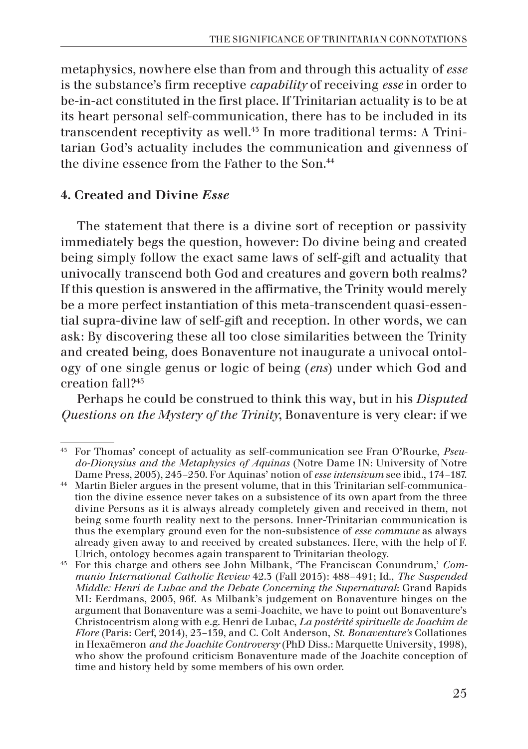metaphysics, nowhere else than from and through this actuality of *esse* is the substance's firm receptive *capability* of receiving *esse* in order to be-in-act constituted in the first place. If Trinitarian actuality is to be at its heart personal self-communication, there has to be included in its transcendent receptivity as well.43 In more traditional terms: A Trinitarian God's actuality includes the communication and givenness of the divine essence from the Father to the Son.<sup>44</sup>

## 4. Created and Divine *Esse*

The statement that there is a divine sort of reception or passivity immediately begs the question, however: Do divine being and created being simply follow the exact same laws of self-gift and actuality that univocally transcend both God and creatures and govern both realms? If this question is answered in the affirmative, the Trinity would merely be a more perfect instantiation of this meta-transcendent quasi-essential supra-divine law of self-gift and reception. In other words, we can ask: By discovering these all too close similarities between the Trinity and created being, does Bonaventure not inaugurate a univocal ontology of one single genus or logic of being (*ens*) under which God and creation fall?45

Perhaps he could be construed to think this way, but in his *Disputed Questions on the Mystery of the Trinity*, Bonaventure is very clear: if we

<sup>43</sup> For Thomas' concept of actuality as self-communication see Fran O'Rourke, *Pseudo-Dionysius and the Metaphysics of Aquinas* (Notre Dame IN: University of Notre Dame Press, 2005), 245–250. For Aquinas' notion of *esse intensivum* see ibid., 174–187.

<sup>44</sup> Martin Bieler argues in the present volume, that in this Trinitarian self-communication the divine essence never takes on a subsistence of its own apart from the three divine Persons as it is always already completely given and received in them, not being some fourth reality next to the persons. Inner-Trinitarian communication is thus the exemplary ground even for the non-subsistence of *esse commune* as always already given away to and received by created substances. Here, with the help of F. Ulrich, ontology becomes again transparent to Trinitarian theology.

<sup>&</sup>lt;sup>45</sup> For this charge and others see John Milbank, 'The Franciscan Conundrum,' *Communio International Catholic Review* 42.3 (Fall 2015): 488–491; Id., *The Suspended Middle: Henri de Lubac and the Debate Concerning the Supernatural*: Grand Rapids MI: Eerdmans, 2005, 96f. As Milbank's judgement on Bonaventure hinges on the argument that Bonaventure was a semi-Joachite, we have to point out Bonaventure's Christocentrism along with e.g. Henri de Lubac, *La postérité spirituelle de Joachim de Flore* (Paris: Cerf, 2014), 23–139, and C. Colt Anderson, *St. Bonaventure's* Collationes in Hexaëmeron *and the Joachite Controversy* (PhD Diss.: Marquette University, 1998), who show the profound criticism Bonaventure made of the Joachite conception of time and history held by some members of his own order.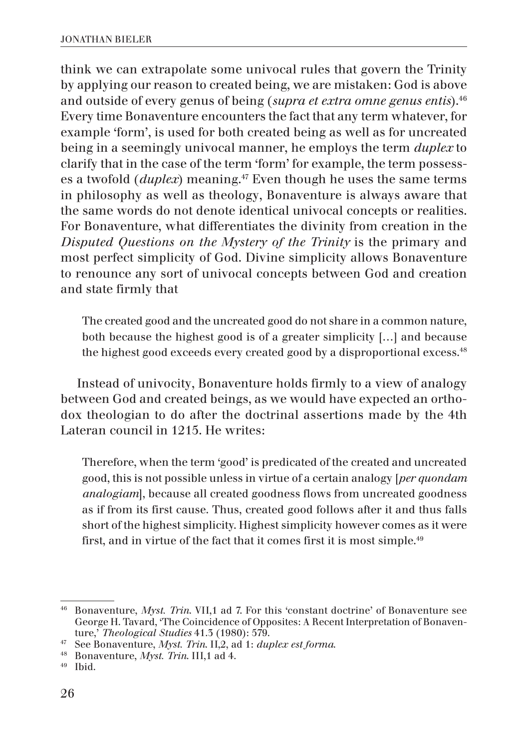think we can extrapolate some univocal rules that govern the Trinity by applying our reason to created being, we are mistaken: God is above and outside of every genus of being (*supra et extra omne genus entis*).46 Every time Bonaventure encounters the fact that any term whatever, for example 'form', is used for both created being as well as for uncreated being in a seemingly univocal manner, he employs the term *duplex* to clarify that in the case of the term 'form' for example, the term possesses a twofold (*duplex*) meaning.<sup>47</sup> Even though he uses the same terms in philosophy as well as theology, Bonaventure is always aware that the same words do not denote identical univocal concepts or realities. For Bonaventure, what differentiates the divinity from creation in the *Disputed Questions on the Mystery of the Trinity* is the primary and most perfect simplicity of God. Divine simplicity allows Bonaventure to renounce any sort of univocal concepts between God and creation and state firmly that

The created good and the uncreated good do not share in a common nature, both because the highest good is of a greater simplicity […] and because the highest good exceeds every created good by a disproportional excess.<sup>48</sup>

Instead of univocity, Bonaventure holds firmly to a view of analogy between God and created beings, as we would have expected an orthodox theologian to do after the doctrinal assertions made by the 4th Lateran council in 1215. He writes:

Therefore, when the term 'good' is predicated of the created and uncreated good, this is not possible unless in virtue of a certain analogy [*per quondam analogiam*], because all created goodness flows from uncreated goodness as if from its first cause. Thus, created good follows after it and thus falls short of the highest simplicity. Highest simplicity however comes as it were first, and in virtue of the fact that it comes first it is most simple.<sup>49</sup>

<sup>46</sup> Bonaventure, *Myst. Trin*. VII,1 ad 7. For this 'constant doctrine' of Bonaventure see George H. Tavard, 'The Coincidence of Opposites: A Recent Interpretation of Bonaven-<br>ture,' Theological Studies 41.5 (1980): 579.

<sup>&</sup>lt;sup>47</sup> See Bonaventure, *Myst. Trin. II,2*, ad 1: *duplex est forma.* 

<sup>48</sup> Bonaventure, *Myst. Trin*. III,1 ad 4. 49 Ibid.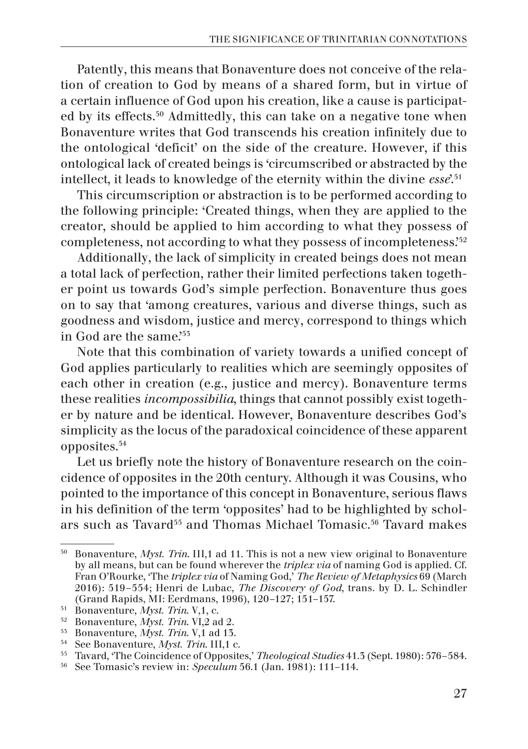Patently, this means that Bonaventure does not conceive of the relation of creation to God by means of a shared form, but in virtue of a certain influence of God upon his creation, like a cause is participated by its effects.50 Admittedly, this can take on a negative tone when Bonaventure writes that God transcends his creation infinitely due to the ontological 'deficit' on the side of the creature. However, if this ontological lack of created beings is 'circumscribed or abstracted by the intellect, it leads to knowledge of the eternity within the divine *esse*'.51

This circumscription or abstraction is to be performed according to the following principle: 'Created things, when they are applied to the creator, should be applied to him according to what they possess of completeness, not according to what they possess of incompleteness.'52

Additionally, the lack of simplicity in created beings does not mean a total lack of perfection, rather their limited perfections taken together point us towards God's simple perfection. Bonaventure thus goes on to say that 'among creatures, various and diverse things, such as goodness and wisdom, justice and mercy, correspond to things which in God are the same.'55

Note that this combination of variety towards a unified concept of God applies particularly to realities which are seemingly opposites of each other in creation (e.g., justice and mercy). Bonaventure terms these realities *incompossibilia*, things that cannot possibly exist together by nature and be identical. However, Bonaventure describes God's simplicity as the locus of the paradoxical coincidence of these apparent opposites.54

Let us briefly note the history of Bonaventure research on the coincidence of opposites in the 20th century. Although it was Cousins, who pointed to the importance of this concept in Bonaventure, serious flaws in his definition of the term 'opposites' had to be highlighted by scholars such as Tavard<sup>55</sup> and Thomas Michael Tomasic.<sup>56</sup> Tavard makes

<sup>50</sup> Bonaventure, *Myst. Trin*. III,1 ad 11. This is not a new view original to Bonaventure by all means, but can be found wherever the *triplex via* of naming God is applied. Cf. Fran O'Rourke, 'The *triplex via* of Naming God,' *The Review of Metaphysics* 69 (March 2016): 519–554; Henri de Lubac, *The Discovery of God*, trans. by D. L. Schindler

<sup>&</sup>lt;sup>51</sup> Bonaventure, *Myst. Trin.* V,1, c.<br><sup>52</sup> Bonaventure, *Myst. Trin.* VI,2 ad 2.<br><sup>53</sup> Bonaventure, *Myst. Trin.* V,1 ad 13.<br><sup>54</sup> See Bonaventure, *Myst. Trin.* III,1 c.<br><sup>55</sup> Tavard, 'The Coincidence of Opposites,' *Theo*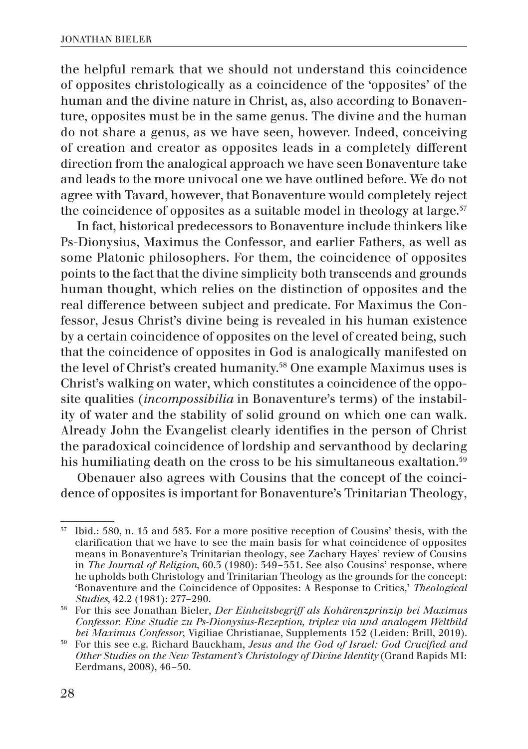the helpful remark that we should not understand this coincidence of opposites christologically as a coincidence of the 'opposites' of the human and the divine nature in Christ, as, also according to Bonaventure, opposites must be in the same genus. The divine and the human do not share a genus, as we have seen, however. Indeed, conceiving of creation and creator as opposites leads in a completely different direction from the analogical approach we have seen Bonaventure take and leads to the more univocal one we have outlined before. We do not agree with Tavard, however, that Bonaventure would completely reject the coincidence of opposites as a suitable model in theology at large. $57$ 

In fact, historical predecessors to Bonaventure include thinkers like Ps-Dionysius, Maximus the Confessor, and earlier Fathers, as well as some Platonic philosophers. For them, the coincidence of opposites points to the fact that the divine simplicity both transcends and grounds human thought, which relies on the distinction of opposites and the real difference between subject and predicate. For Maximus the Confessor, Jesus Christ's divine being is revealed in his human existence by a certain coincidence of opposites on the level of created being, such that the coincidence of opposites in God is analogically manifested on the level of Christ's created humanity.<sup>58</sup> One example Maximus uses is Christ's walking on water, which constitutes a coincidence of the opposite qualities (*incompossibilia* in Bonaventure's terms) of the instability of water and the stability of solid ground on which one can walk. Already John the Evangelist clearly identifies in the person of Christ the paradoxical coincidence of lordship and servanthood by declaring his humiliating death on the cross to be his simultaneous exaltation.<sup>59</sup>

Obenauer also agrees with Cousins that the concept of the coincidence of opposites is important for Bonaventure's Trinitarian Theology,

<sup>57</sup> Ibid.: 580, n. 15 and 583. For a more positive reception of Cousins' thesis, with the clarification that we have to see the main basis for what coincidence of opposites means in Bonaventure's Trinitarian theology, see Zachary Hayes' review of Cousins in *The Journal of Religion*, 60.3 (1980): 349–351. See also Cousins' response, where he upholds both Christology and Trinitarian Theology as the grounds for the concept: 'Bonaventure and the Coincidence of Opposites: A Response to Critics,' *Theological Studies*, 42.2 (1981): 277–290.

<sup>58</sup> For this see Jonathan Bieler, *Der Einheitsbegriff als Kohärenzprinzip bei Maximus Confessor. Eine Studie zu Ps-Dionysius-Rezeption, triplex via und analogem Weltbild* 

<sup>&</sup>lt;sup>59</sup> For this see e.g. Richard Bauckham, Jesus and the God of Israel: God Crucified and *Other Studies on the New Testament's Christology of Divine Identity* (Grand Rapids MI: Eerdmans, 2008), 46–50.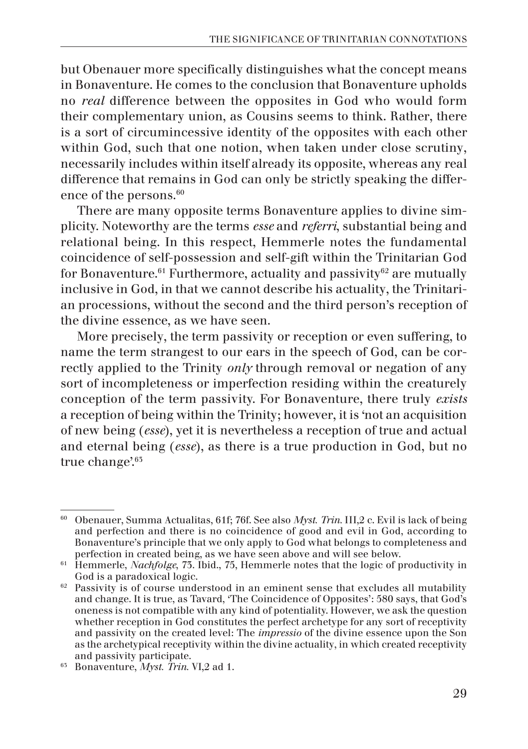but Obenauer more specifically distinguishes what the concept means in Bonaventure. He comes to the conclusion that Bonaventure upholds no *real* difference between the opposites in God who would form their complementary union, as Cousins seems to think. Rather, there is a sort of circumincessive identity of the opposites with each other within God, such that one notion, when taken under close scrutiny, necessarily includes within itself already its opposite, whereas any real difference that remains in God can only be strictly speaking the difference of the persons.<sup>60</sup>

There are many opposite terms Bonaventure applies to divine simplicity. Noteworthy are the terms *esse* and *referri*, substantial being and relational being. In this respect, Hemmerle notes the fundamental coincidence of self-possession and self-gift within the Trinitarian God for Bonaventure.<sup>61</sup> Furthermore, actuality and passivity<sup>62</sup> are mutually inclusive in God, in that we cannot describe his actuality, the Trinitarian processions, without the second and the third person's reception of the divine essence, as we have seen.

More precisely, the term passivity or reception or even suffering, to name the term strangest to our ears in the speech of God, can be correctly applied to the Trinity *only* through removal or negation of any sort of incompleteness or imperfection residing within the creaturely conception of the term passivity. For Bonaventure, there truly *exists* a reception of being within the Trinity; however, it is 'not an acquisition of new being (*esse*), yet it is nevertheless a reception of true and actual and eternal being (*esse*), as there is a true production in God, but no true change'.<sup>65</sup>

<sup>60</sup> Obenauer, Summa Actualitas, 61f; 76f. See also *Myst. Trin.* III,2 c. Evil is lack of being and perfection and there is no coincidence of good and evil in God, according to Bonaventure's principle that we only apply to God what belongs to completeness and perfection in created being, as we have seen above and will see below.

<sup>&</sup>lt;sup>61</sup> Hemmerle, *Nachfolge*, 73. Ibid., 75, Hemmerle notes that the logic of productivity in

God is a paradoxical logic.  $62$  Passivity is of course understood in an eminent sense that excludes all mutability and change. It is true, as Tavard, 'The Coincidence of Opposites': 580 says, that God's oneness is not compatible with any kind of potentiality. However, we ask the question whether reception in God constitutes the perfect archetype for any sort of receptivity and passivity on the created level: The *impressio* of the divine essence upon the Son as the archetypical receptivity within the divine actuality, in which created receptivity

 $\frac{1}{65}$  Bonaventure, *Myst. Trin.* VI,2 ad 1.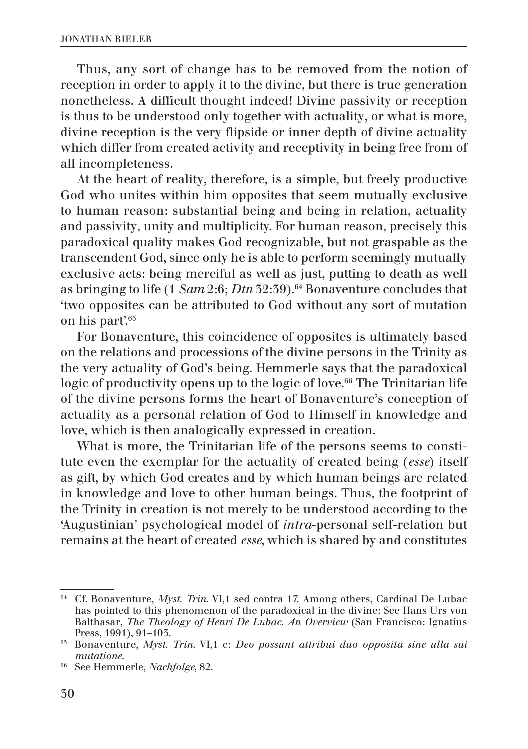Thus, any sort of change has to be removed from the notion of reception in order to apply it to the divine, but there is true generation nonetheless. A difficult thought indeed! Divine passivity or reception is thus to be understood only together with actuality, or what is more, divine reception is the very flipside or inner depth of divine actuality which differ from created activity and receptivity in being free from of all incompleteness.

At the heart of reality, therefore, is a simple, but freely productive God who unites within him opposites that seem mutually exclusive to human reason: substantial being and being in relation, actuality and passivity, unity and multiplicity. For human reason, precisely this paradoxical quality makes God recognizable, but not graspable as the transcendent God, since only he is able to perform seemingly mutually exclusive acts: being merciful as well as just, putting to death as well as bringing to life (1 *Sam* 2:6; *Dtn* 32:39).<sup>64</sup> Bonaventure concludes that 'two opposites can be attributed to God without any sort of mutation on his part'.65

For Bonaventure, this coincidence of opposites is ultimately based on the relations and processions of the divine persons in the Trinity as the very actuality of God's being. Hemmerle says that the paradoxical logic of productivity opens up to the logic of love.<sup>66</sup> The Trinitarian life of the divine persons forms the heart of Bonaventure's conception of actuality as a personal relation of God to Himself in knowledge and love, which is then analogically expressed in creation.

What is more, the Trinitarian life of the persons seems to constitute even the exemplar for the actuality of created being (*esse*) itself as gift, by which God creates and by which human beings are related in knowledge and love to other human beings. Thus, the footprint of the Trinity in creation is not merely to be understood according to the 'Augustinian' psychological model of *intra*-personal self-relation but remains at the heart of created *esse*, which is shared by and constitutes

<sup>64</sup> Cf. Bonaventure, *Myst. Trin*. VI,1 sed contra 17. Among others, Cardinal De Lubac has pointed to this phenomenon of the paradoxical in the divine: See Hans Urs von Balthasar, *The Theology of Henri De Lubac. An Overview* (San Francisco: Ignatius Press, 1991), 91–103.

<sup>65</sup> Bonaventure, *Myst. Trin*. VI,1 c: *Deo possunt attribui duo opposita sine ulla sui* 

*mutatione*. 66 See Hemmerle, *Nachfolge*, 82.